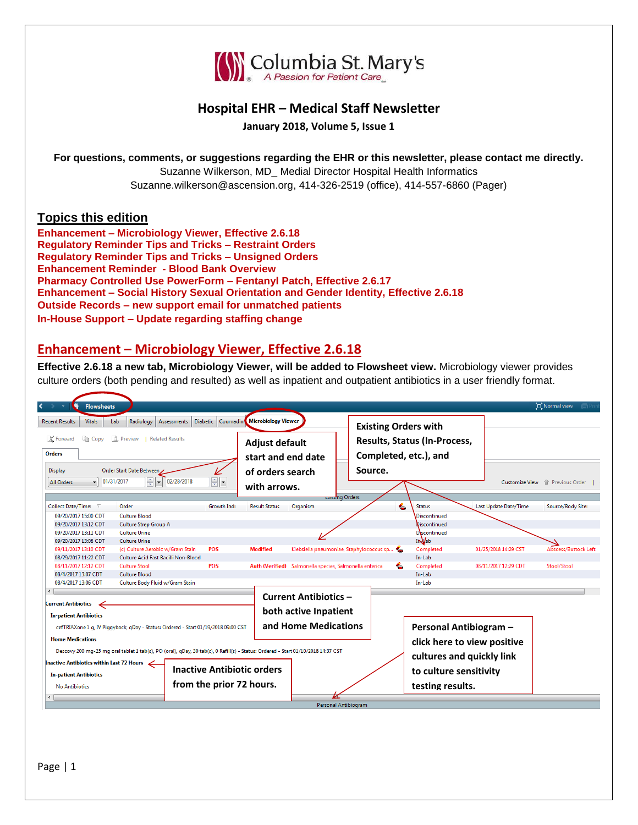

# **Hospital EHR – Medical Staff Newsletter**

**January 2018, Volume 5, Issue 1**

**For questions, comments, or suggestions regarding the EHR or this newsletter, please contact me directly.** Suzanne Wilkerson, MD\_ Medial Director Hospital Health Informatics Suzanne.wilkerson@ascension.org, 414-326-2519 (office), 414-557-6860 (Pager)

## **Topics this edition**

**Enhancement – Microbiology Viewer, Effective 2.6.18 Regulatory Reminder Tips and Tricks – Restraint Orders Regulatory Reminder Tips and Tricks – Unsigned Orders Enhancement Reminder - Blood Bank Overview Pharmacy Controlled Use PowerForm – Fentanyl Patch, Effective 2.6.17 Enhancement – Social History Sexual Orientation and Gender Identity, Effective 2.6.18 Outside Records – new support email for unmatched patients In-House Support – Update regarding staffing change**

## **Enhancement – Microbiology Viewer, Effective 2.6.18**

**Effective 2.6.18 a new tab, Microbiology Viewer, will be added to Flowsheet view.** Microbiology viewer provides culture orders (both pending and resulted) as well as inpatient and outpatient antibiotics in a user friendly format.

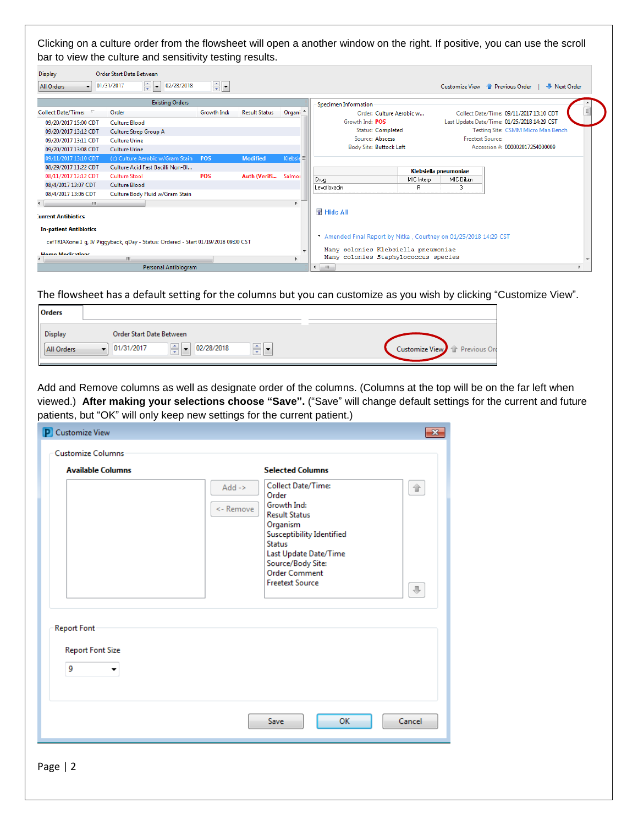Clicking on a culture order from the flowsheet will open a another window on the right. If positive, you can use the scroll bar to view the culture and sensitivity testing results.

| <b>Display</b><br>$\mathbf{v}$<br>All Orders | <b>Order Start Date Between</b><br>≑E<br>02/28/2018<br>01/31/2017                  | $\frac{1}{\sqrt{2}}$ |                      |                     |                                                                             |                 |                       | <b>W</b> Next Order<br>Customize View <sup>1</sup> Previous Order |          |
|----------------------------------------------|------------------------------------------------------------------------------------|----------------------|----------------------|---------------------|-----------------------------------------------------------------------------|-----------------|-----------------------|-------------------------------------------------------------------|----------|
|                                              | <b>Existing Orders</b>                                                             |                      |                      |                     | Specimen Information                                                        |                 |                       |                                                                   |          |
| <b>Collect Date/Time:</b>                    | Order                                                                              | Growth Ind:          | <b>Result Status</b> | Organi <sup>A</sup> | Order: Culture Aerobic w                                                    |                 |                       | Collect Date/Time: 09/11/2017 13:10 CDT                           | $\equiv$ |
| 09/20/2017 15:00 CDT                         | Culture Blood                                                                      |                      |                      |                     | Growth Ind: POS                                                             |                 |                       | Last Update Date/Time: 01/25/2018 14:29 CST                       |          |
| 09/20/2017 13:12 CDT                         | Culture Strep Group A                                                              |                      |                      |                     | Status: Completed                                                           |                 |                       | Testing Site: CSMM Micro Man Bench                                |          |
| 09/20/2017 13:11 CDT                         | <b>Culture Urine</b>                                                               |                      |                      |                     | Source: Abscess                                                             |                 |                       | <b>Freetext Source:</b>                                           |          |
| 09/20/2017 13:08 CDT                         | <b>Culture Urine</b>                                                               |                      |                      |                     | <b>Body Site: Buttock Left</b>                                              |                 |                       | Accession #: 000002017254000009                                   |          |
| 09/11/2017 13:10 CDT                         | (c) Culture Aerobic w/Gram Stain POS                                               |                      | <b>Modified</b>      | Klebsid             |                                                                             |                 |                       |                                                                   |          |
| 08/29/2017 11:22 CDT                         | Culture Acid Fast Bacilli Non-Bl                                                   |                      |                      |                     |                                                                             |                 |                       |                                                                   |          |
| 08/11/2017 12:12 CDT                         | <b>Culture Stool</b>                                                               | <b>POS</b>           | Auth (Verifi         | Salmoi              |                                                                             |                 | Klebsiella pneumoniae |                                                                   |          |
| 08/4/2017 13:07 CDT                          | <b>Culture Blood</b>                                                               |                      |                      |                     | Drug<br>Levofloxacin                                                        | MIC Interp<br>R | MIC Dilutn<br>3       |                                                                   |          |
| 08/4/2017 13:06 CDT                          | Culture Body Fluid w/Gram Stain                                                    |                      |                      |                     |                                                                             |                 |                       |                                                                   |          |
| m.                                           |                                                                                    |                      |                      |                     |                                                                             |                 |                       |                                                                   |          |
| <b>Jurrent Antibiotics</b>                   |                                                                                    |                      |                      |                     | 图 Hide All                                                                  |                 |                       |                                                                   |          |
| <b>In-patient Antibiotics</b>                |                                                                                    |                      |                      |                     |                                                                             |                 |                       |                                                                   |          |
|                                              |                                                                                    |                      |                      |                     | Amended Final Report by Nitka, Courtney on 01/25/2018 14:29 CST             |                 |                       |                                                                   |          |
|                                              | cefTRIAXone 1 g, IV Piggyback, qDay - Status: Ordered - Start 01/19/2018 09:00 CST |                      |                      |                     |                                                                             |                 |                       |                                                                   |          |
| <b>Home Medications</b>                      | m.                                                                                 |                      |                      |                     | Many colonies Klebsiella pneumoniae<br>Many colonies Staphylococcus species |                 |                       |                                                                   |          |
|                                              | Personal Antibiogram                                                               |                      |                      |                     | $\leftarrow$<br>m.                                                          |                 |                       |                                                                   |          |

The flowsheet has a default setting for the columns but you can customize as you wish by clicking "Customize View".

| <b>Orders</b>                                                                 |                                                                                                    |                               |
|-------------------------------------------------------------------------------|----------------------------------------------------------------------------------------------------|-------------------------------|
| <b>Display</b><br>Order Start Date Between<br>01/31/2017<br><b>All Orders</b> | 측<br>$\triangle$ .<br>02/28/2018<br>$\overline{\phantom{0}}$<br>$\overline{\phantom{a}}$<br>$\sim$ | Customize View   Trevious Ord |

Add and Remove columns as well as designate order of the columns. (Columns at the top will be on the far left when viewed.) **After making your selections choose "Save".** ("Save" will change default settings for the current and future patients, but "OK" will only keep new settings for the current patient.)

| <b>P</b> Customize View                                 |                                                                                                                                                                                                                        | $-25$ |
|---------------------------------------------------------|------------------------------------------------------------------------------------------------------------------------------------------------------------------------------------------------------------------------|-------|
| <b>Customize Columns</b><br><b>Available Columns</b>    | <b>Selected Columns</b><br><b>Collect Date/Time:</b><br>$Add \rightarrow$<br>合<br>Order                                                                                                                                |       |
|                                                         | Growth Ind:<br><- Remove<br><b>Result Status</b><br>Organism<br><b>Susceptibility Identified</b><br><b>Status</b><br>Last Update Date/Time<br>Source/Body Site:<br><b>Order Comment</b><br><b>Freetext Source</b><br>⊕ |       |
| <b>Report Font</b><br><b>Report Font Size</b><br>9<br>▼ |                                                                                                                                                                                                                        |       |
|                                                         | OK<br>Cancel<br>Save                                                                                                                                                                                                   |       |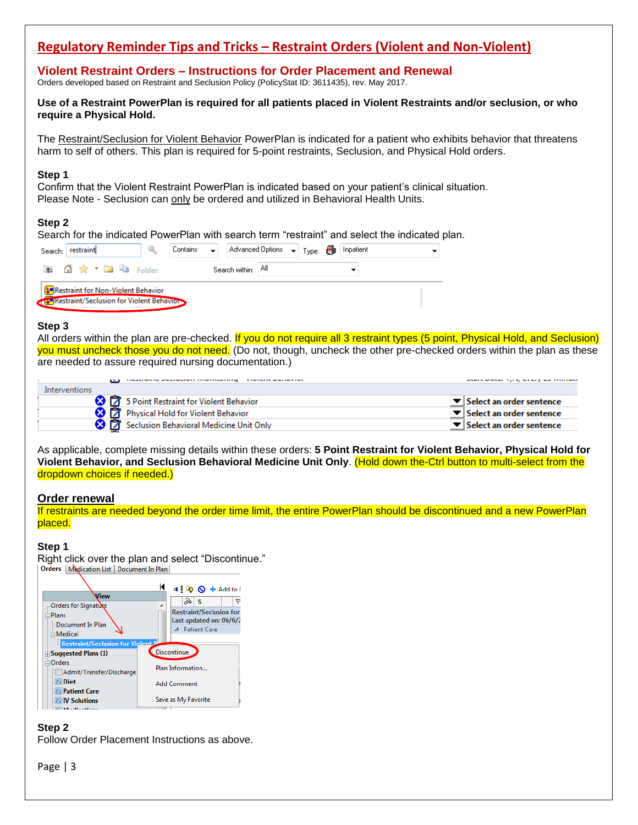# **Regulatory Reminder Tips and Tricks – Restraint Orders (Violent and Non-Violent)**

**Violent Restraint Orders – Instructions for Order Placement and Renewal** Orders developed based on Restraint and Seclusion Policy (PolicyStat ID: 3611435), rev. May 2017.

**Use of a Restraint PowerPlan is required for all patients placed in Violent Restraints and/or seclusion, or who require a Physical Hold.**

The Restraint/Seclusion for Violent Behavior PowerPlan is indicated for a patient who exhibits behavior that threatens harm to self of others. This plan is required for 5-point restraints, Seclusion, and Physical Hold orders.

#### **Step 1**

Confirm that the Violent Restraint PowerPlan is indicated based on your patient's clinical situation. Please Note - Seclusion can only be ordered and utilized in Behavioral Health Units.

### **Step 2**

Search for the indicated PowerPlan with search term "restraint" and select the indicated plan.

| Search:   restraint                                                                     |  | , Contains $\quad \mathord{\blacktriangleright}\ \Big \ \Big $ Advanced Options $\quad \mathord{\blacktriangleright}\ \Big $ Type: $\bigoplus\limits_{i=1}^n\Big \ \text{Inpatient}$ |  |  |  |  |
|-----------------------------------------------------------------------------------------|--|--------------------------------------------------------------------------------------------------------------------------------------------------------------------------------------|--|--|--|--|
| <b>A</b> 公 ☆ ▼ ■ ■ Folder:                                                              |  | Search within: │All                                                                                                                                                                  |  |  |  |  |
| Restraint for Non-Violent Behavior<br><b>CHRestraint/Seclusion for Violent Behavior</b> |  |                                                                                                                                                                                      |  |  |  |  |

#### **Step 3**

All orders within the plan are pre-checked. If you do not require all 3 restraint types (5 point, Physical Hold, and Seclusion) you must uncheck those you do not need. (Do not, though, uncheck the other pre-checked orders within the plan as these are needed to assure required nursing documentation.)

|                  | <b>CONSIDERED BY SENSIBILITY OF PERFORMANCE</b><br><b>IN THE END OF THE REPORT OF THE REAL PROPERTY</b> | services to be service. If young their service product in a construction |
|------------------|---------------------------------------------------------------------------------------------------------|--------------------------------------------------------------------------|
| Interventions    |                                                                                                         |                                                                          |
|                  | 5 Point Restraint for Violent Behavior                                                                  | $\blacktriangleright$ Select an order sentence                           |
|                  | <b>8</b>   <b>7</b> Physical Hold for Violent Behavior                                                  | $\blacktriangleright$ Select an order sentence                           |
| $\bm{\times}$ 1% | Seclusion Behavioral Medicine Unit Only                                                                 | $\blacktriangleright$ Select an order sentence                           |

As applicable, complete missing details within these orders: **5 Point Restraint for Violent Behavior, Physical Hold for Violent Behavior, and Seclusion Behavioral Medicine Unit Only**. (Hold down the-Ctrl button to multi-select from the dropdown choices if needed.)

#### **Order renewal**

If restraints are needed beyond the order time limit, the entire PowerPlan should be discontinued and a new PowerPlan placed.

#### **Step 1**

Right click over the plan and select "Discontinue."<br>| Orders | Medication List | Document In Plan|



#### **Step 2**

Follow Order Placement Instructions as above.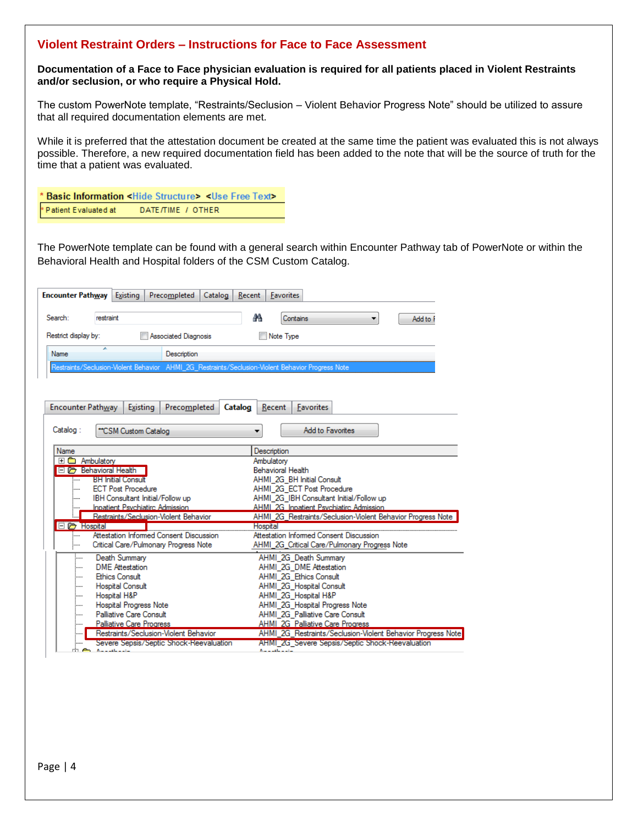## **Violent Restraint Orders – Instructions for Face to Face Assessment**

## **Documentation of a Face to Face physician evaluation is required for all patients placed in Violent Restraints and/or seclusion, or who require a Physical Hold.**

The custom PowerNote template, "Restraints/Seclusion – Violent Behavior Progress Note" should be utilized to assure that all required documentation elements are met.

While it is preferred that the attestation document be created at the same time the patient was evaluated this is not always possible. Therefore, a new required documentation field has been added to the note that will be the source of truth for the time that a patient was evaluated.

|                        | * Basic Information < Hide Structure> < Use Free Text> |
|------------------------|--------------------------------------------------------|
| * Patient Evaluated at | DATE/TIME / OTHER                                      |

The PowerNote template can be found with a general search within Encounter Pathway tab of PowerNote or within the Behavioral Health and Hospital folders of the CSM Custom Catalog.

| <b>Encounter Pathway</b>                                                                          | Existing                              | Precompleted<br>Catalog                 |         | Recent   | Favorites              |                          |                                             |                                                 |          |                                                             |
|---------------------------------------------------------------------------------------------------|---------------------------------------|-----------------------------------------|---------|----------|------------------------|--------------------------|---------------------------------------------|-------------------------------------------------|----------|-------------------------------------------------------------|
| Search:<br>restraint                                                                              |                                       |                                         |         | m        |                        | Contains                 |                                             |                                                 | Add to F |                                                             |
| Restrict display by:                                                                              |                                       | Associated Diagnosis                    |         |          | Note Type              |                          |                                             |                                                 |          |                                                             |
| ×<br>Name                                                                                         |                                       | Description                             |         |          |                        |                          |                                             |                                                 |          |                                                             |
| Restraints/Seclusion-Violent Behavior AHMI 2G Restraints/Seclusion-Violent Behavior Progress Note |                                       |                                         |         |          |                        |                          |                                             |                                                 |          |                                                             |
| <b>Encounter Pathway</b><br>Catalog:                                                              | Existing<br>"CSM Custom Catalog       | Precompleted                            | Catalog |          | Recent                 |                          | <b>Favorites</b><br><b>Add to Favorites</b> |                                                 |          |                                                             |
|                                                                                                   |                                       |                                         |         |          |                        |                          |                                             |                                                 |          |                                                             |
| Name                                                                                              |                                       |                                         |         |          | Description            |                          |                                             |                                                 |          |                                                             |
| 田 a Ambulatory<br>Behavioral Health                                                               |                                       |                                         |         |          | Ambulatory             | <b>Behavioral Health</b> |                                             |                                                 |          |                                                             |
| !                                                                                                 | <b>BH Initial Consult</b>             |                                         |         |          |                        |                          | AHMI 2G BH Initial Consult                  |                                                 |          |                                                             |
| :                                                                                                 | <b>ECT Post Procedure</b>             |                                         |         |          |                        |                          | AHMI 2G ECT Post Procedure                  |                                                 |          |                                                             |
|                                                                                                   | IBH Consultant Initial/Follow up      |                                         |         |          |                        |                          |                                             | AHMI 2G IBH Consultant Initial/Follow up        |          |                                                             |
|                                                                                                   | Inpatient Psychiatirc Admission       |                                         |         |          |                        |                          | AHMI 2G Inpatient Psychiatirc Admission     |                                                 |          |                                                             |
|                                                                                                   | Restraints/Seclusion-Violent Behavior |                                         |         |          |                        |                          |                                             |                                                 |          | AHMI 2G Restraints/Seclusion-Violent Behavior Progress Note |
| <b>El Co</b> Hospital                                                                             |                                       |                                         |         | Hospital |                        |                          |                                             |                                                 |          |                                                             |
| !                                                                                                 |                                       | Attestation Informed Consent Discussion |         |          |                        |                          |                                             |                                                 |          |                                                             |
| <b>:……</b>                                                                                        |                                       | Critical Care/Pulmonary Progress Note   |         |          |                        |                          |                                             | AHMI_2G_Critical Care/Pulmonary Progress Note   |          |                                                             |
| :                                                                                                 | Death Summary                         |                                         |         |          |                        |                          | AHMI 2G Death Summary                       |                                                 |          |                                                             |
| :                                                                                                 | <b>DMF</b> Attestation                |                                         |         |          |                        |                          | AHMI 2G DME Attestation                     |                                                 |          |                                                             |
| :                                                                                                 | <b>Ethics Consult</b>                 |                                         |         |          |                        |                          | AHMI 2G Ethics Consult                      |                                                 |          |                                                             |
| :                                                                                                 | <b>Hospital Consult</b>               |                                         |         |          |                        |                          | AHMI 2G Hospital Consult                    |                                                 |          |                                                             |
| :                                                                                                 | Hospital H&P                          |                                         |         |          |                        |                          | AHMI 2G Hospital H&P                        |                                                 |          |                                                             |
| :                                                                                                 | <b>Hospital Progress Note</b>         |                                         |         |          |                        |                          | AHMI_2G_Hospital Progress Note              |                                                 |          |                                                             |
| :                                                                                                 | Palliative Care Consult               |                                         |         |          |                        |                          | AHMI 2G Palliative Care Consult             |                                                 |          |                                                             |
| ļ                                                                                                 | <b>Palliative Care Progress</b>       |                                         |         |          |                        |                          | AHMI 2G Palliative Care Progress            |                                                 |          |                                                             |
|                                                                                                   |                                       | Restraints/Seclusion-Violent Behavior   |         |          |                        |                          |                                             |                                                 |          | AHMI_2G_Restraints/Seclusion-Violent Behavior Progress Note |
|                                                                                                   |                                       | Severe Sepsis/Septic Shock-Reevaluation |         |          |                        |                          |                                             | AHMI 2G Severe Sepsis/Septic Shock-Reevaluation |          |                                                             |
| ன் <del>றை</del> நடவடவும்                                                                         |                                       |                                         |         |          | أستستطيل والقدام أأناه |                          |                                             |                                                 |          |                                                             |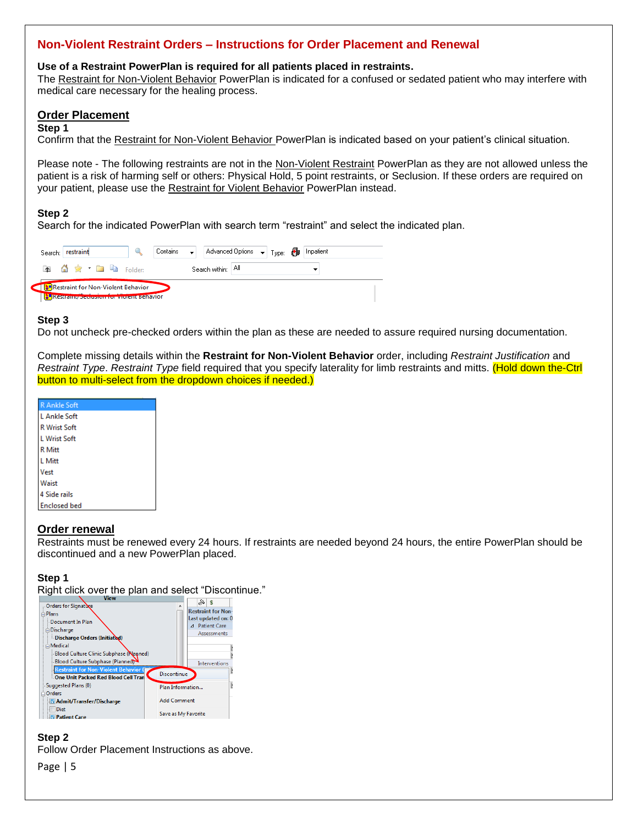## **Non-Violent Restraint Orders – Instructions for Order Placement and Renewal**

#### **Use of a Restraint PowerPlan is required for all patients placed in restraints.**

The Restraint for Non-Violent Behavior PowerPlan is indicated for a confused or sedated patient who may interfere with medical care necessary for the healing process.

### **Order Placement**

### **Step 1**

Confirm that the Restraint for Non-Violent Behavior PowerPlan is indicated based on your patient's clinical situation.

Please note - The following restraints are not in the Non-Violent Restraint PowerPlan as they are not allowed unless the patient is a risk of harming self or others: Physical Hold, 5 point restraints, or Seclusion. If these orders are required on your patient, please use the Restraint for Violent Behavior PowerPlan instead.

### **Step 2**

Search for the indicated PowerPlan with search term "restraint" and select the indicated plan.

| Search: restraint |                                                                                       |  |                    | Contains $\leftarrow$   Advanced Options $\leftarrow$   Type: 8   Inpatient |  |  |
|-------------------|---------------------------------------------------------------------------------------|--|--------------------|-----------------------------------------------------------------------------|--|--|
|                   | 图 价金 · 面 脑 Folder:                                                                    |  | Search within: All |                                                                             |  |  |
|                   | Restraint for Non-Violent Behavior<br><b>Nestraint</b> Secretion for violent Benavior |  |                    |                                                                             |  |  |

### **Step 3**

Do not uncheck pre-checked orders within the plan as these are needed to assure required nursing documentation.

Complete missing details within the **Restraint for Non-Violent Behavior** order, including *Restraint Justification* and *Restraint Type*. *Restraint Type* field required that you specify laterality for limb restraints and mitts. (Hold down the-Ctrl button to multi-select from the dropdown choices if needed.)

| R Ankle Soft        |
|---------------------|
| L Ankle Soft        |
| <b>R</b> Wrist Soft |
| L Wrist Soft        |
| <b>R</b> Mitt       |
| L Mitt              |
| Vest                |
| Waist               |
| 4 Side rails        |
| <b>Enclosed bed</b> |
|                     |

## **Order renewal**

Restraints must be renewed every 24 hours. If restraints are needed beyond 24 hours, the entire PowerPlan should be discontinued and a new PowerPlan placed.

## **Step 1**

Right click over the plan and select "Discontinue."

| <b>View</b>                                   | ℅<br>索                    |  |
|-----------------------------------------------|---------------------------|--|
| Orders for Signature                          | ۸                         |  |
| <b>∈Plans</b>                                 | <b>Restraint for Non-</b> |  |
| - Document In Plan                            | Last updated on: 0        |  |
| in Discharge                                  | ⊿ Patient Care            |  |
| Discharge Orders (Initiated)                  | <b>Assessments</b>        |  |
| $\Box$ Medical                                |                           |  |
| <b>Blood Culture Clinic Subphase (Nanned)</b> |                           |  |
| Blood Culture Subphase (Planned)              | Interventions             |  |
| <b>Restraint for Non-Violent Behavior (</b>   |                           |  |
| One Unit Packed Red Blood Cell Tran           | <b>Discontinue</b>        |  |
| Suggested Plans (0)                           | Plan Information          |  |
| <b>□ Orders</b>                               |                           |  |
| Admit/Transfer/Discharge                      | <b>Add Comment</b>        |  |
| Diet                                          |                           |  |
| <b>Patient Care</b>                           | Save as My Favorite       |  |

## **Step 2** Follow Order Placement Instructions as above.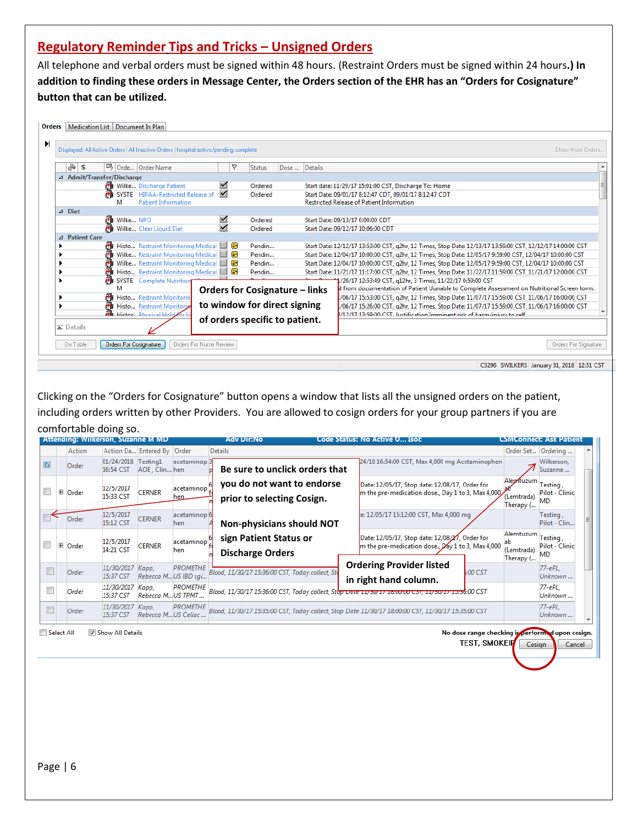# **Regulatory Reminder Tips and Tricks – Unsigned Orders**

All telephone and verbal orders must be signed within 48 hours. (Restraint Orders must be signed within 24 hours**.) In addition to finding these orders in Message Center, the Orders section of the EHR has an "Orders for Cosignature" button that can be utilized.**



Clicking on the "Orders for Cosignature" button opens a window that lists all the unsigned orders on the patient, including orders written by other Providers. You are allowed to cosign orders for your group partners if you are comfortable doing so.

|            |                 | Attending: Wilkerson, Suzanne M MD |                             |                                         | Adv Dir:No                                                                                          | Code Status: No Active O Isol:                                                                       |         |                                               | CSMConnect: Ask Patient                          |  |
|------------|-----------------|------------------------------------|-----------------------------|-----------------------------------------|-----------------------------------------------------------------------------------------------------|------------------------------------------------------------------------------------------------------|---------|-----------------------------------------------|--------------------------------------------------|--|
|            | Action          |                                    | Action Da Entered By Order  |                                         | <b>Details</b>                                                                                      |                                                                                                      |         |                                               | Order Set Ordering                               |  |
| $\vert$    | Order           | 01/24/2018<br>16:54 CST            | Testing1<br>AOE, Clin hen   | acetaminop <sub>3</sub>                 | Be sure to unclick orders that                                                                      | 24/18 16:54:00 CST, Max 4,000 mg Acetaminophen                                                       |         |                                               | Wilkerson,<br>Suzanne                            |  |
| $\Box$     | <b>El</b> Order | 12/5/2017<br>15:33 CST             | <b>CERNER</b>               | acetaminop <sup>1</sup><br>hen          | you do not want to endorse<br>prior to selecting Cosign.                                            | Date: 12/05/17, Stop date: 12/08/17, Order for<br>m the pre-medication dose., Day 1 to 3, Max 4,000, |         | Aleptuzum<br>(Lemtrada)<br>Therapy (          | Testing,<br>Pilot - Clinic<br><b>MD</b>          |  |
|            | Order           | 12/5/2017<br>15:12 CST             | <b>CERNER</b>               | acetaminop 6<br>hen.                    | <b>Non-physicians should NOT</b>                                                                    | e: 12/05/17 15:12:00 CST, Max 4,000 mg                                                               |         |                                               | Testing,<br>Pilot - Clin                         |  |
| $\Box$     | <b>El</b> Order | 12/5/2017<br>14:21 CST             | <b>CERNER</b>               | acetaminop <sup>1</sup><br>hen          | sign Patient Status or<br><b>Discharge Orders</b>                                                   | Date: 12/05/17, Stop date: 12/08/27, Order for<br>m the pre-medication dose., Day 1 to 3, Max 4,000  |         | Alemtuzum Testing,<br>(Lemtrada)<br>Therapy ( | Pilot - Clinic<br><b>MD</b>                      |  |
|            | Order           | 11/30/2017<br>15:37 CST            | Kapp,                       | <b>PROMETHE</b><br>Rebecca M US IBD sqi | Blood, 11/30/17 15:36:00 CST, Today collect, Sto                                                    | <b>Ordering Provider listed</b><br>in right hand column.                                             | :00 CST |                                               | $77 - ePL$<br>Unknown                            |  |
|            | Order           | 11/30/2017<br>15:37 CST            | Kapp,<br>Rebecca MUS TPMT   | <b>PROMETHE</b>                         | Blood, 11/30/17 15:36:00 CST, Today collect, Stop Date 11/30/17 18:00:00 CST, 11/30/17 13:36:00 CST |                                                                                                      |         |                                               | 77-ePL.<br>Unknown                               |  |
|            | Order           | 11/30/2017<br>15:37 CST            | Kapp,<br>Rebecca MUS Celiac | <b>PROMETHE</b>                         | Blood, 11/30/17 15:35:00 CST, Today collect, Stop Date 11/30/17 18:00:00 CST, 11/30/17 15:35:00 CST |                                                                                                      |         |                                               | $77 - ePL$<br>Unknown                            |  |
| Select All |                 | Show All Details                   |                             |                                         |                                                                                                     |                                                                                                      |         |                                               | No dose range checking is performed upon cosign. |  |

TEST, SMOKEIF Cosign

Cancel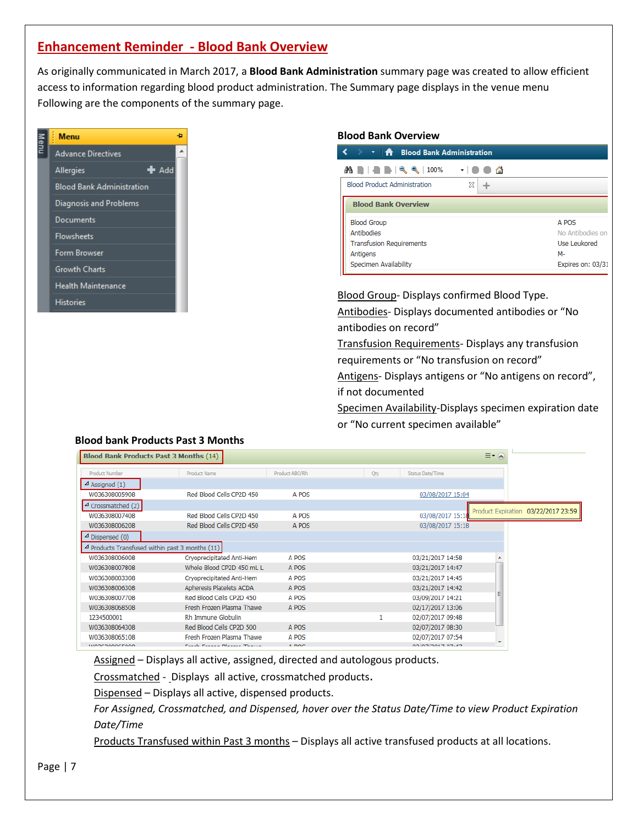# **Enhancement Reminder - Blood Bank Overview**

As originally communicated in March 2017, a **Blood Bank Administration** summary page was created to allow efficient access to information regarding blood product administration. The Summary page displays in the venue menu Following are the components of the summary page.

| Menu | <b>Menu</b>                      |                | Ð |
|------|----------------------------------|----------------|---|
|      | <b>Advance Directives</b>        |                |   |
|      | Allergies                        | $\bigstar$ Add |   |
|      | <b>Blood Bank Administration</b> |                |   |
|      | Diagnosis and Problems           |                |   |
|      | Documents                        |                |   |
|      | <b>Flowsheets</b>                |                |   |
|      | <b>Form Browser</b>              |                |   |
|      | <b>Growth Charts</b>             |                |   |
|      | <b>Health Maintenance</b>        |                |   |
|      | <b>Histories</b>                 |                |   |

#### **Blood Bank Overview**

| <b>← ← A Blood Bank Administration</b> |         |                   |  |
|----------------------------------------|---------|-------------------|--|
| 24 B B B C C 100%                      | ▾▏◙ ◙ ۞ |                   |  |
| <b>Blood Product Administration</b>    | x       |                   |  |
| <b>Blood Bank Overview</b>             |         |                   |  |
| <b>Blood Group</b>                     |         | A POS             |  |
| <b>Antibodies</b>                      |         | No Antibodies on  |  |
| <b>Transfusion Requirements</b>        |         | Use Leukored      |  |
| Antigens                               |         | M-                |  |
| Specimen Availability                  |         | Expires on: 03/31 |  |

**Blood Group- Displays confirmed Blood Type.** 

Antibodies- Displays documented antibodies or "No antibodies on record"

Transfusion Requirements- Displays any transfusion requirements or "No transfusion on record"

Antigens- Displays antigens or "No antigens on record", if not documented

Specimen Availability-Displays specimen expiration date or "No current specimen available"

## **Blood bank Products Past 3 Months**

| <b>Blood Bank Products Past 3 Months (14)</b>             |                               |                |     |                   | $\equiv$ $\sim$ $\approx$ |                                     |
|-----------------------------------------------------------|-------------------------------|----------------|-----|-------------------|---------------------------|-------------------------------------|
|                                                           |                               |                |     |                   |                           |                                     |
| <b>Product Number</b>                                     | <b>Product Name</b>           | Product ABO/Rh | Qty | Status Date/Time  |                           |                                     |
| $\triangle$ Assigned (1)                                  |                               |                |     |                   |                           |                                     |
| W036308005908                                             | Red Blood Cells CP2D 450      | A POS          |     | 03/08/2017 15:04  |                           |                                     |
| $\triangle$ Crossmatched (2)                              |                               |                |     |                   |                           |                                     |
| W036308007408                                             | Red Blood Cells CP2D 450      | A POS          |     | 03/08/2017 15:18  |                           | Product Expiration 03/22/2017 23:59 |
| W036308006208                                             | Red Blood Cells CP2D 450      | A POS          |     | 03/08/2017 15:18  |                           |                                     |
| $\triangle$ Dispensed (0)                                 |                               |                |     |                   |                           |                                     |
| $\triangle$ Products Transfused within past 3 months (11) |                               |                |     |                   |                           |                                     |
| W036308006008                                             | Cryoprecipitated Anti-Hem     | A POS          |     | 03/21/2017 14:58  |                           |                                     |
| W036308007808                                             | Whole Blood CP2D 450 mL L     | A POS          |     | 03/21/2017 14:47  |                           |                                     |
| W036308003308                                             | Cryoprecipitated Anti-Hem     | A POS          |     | 03/21/2017 14:45  |                           |                                     |
| W036308006308                                             | Apheresis Platelets ACDA      | A POS          |     | 03/21/2017 14:42  |                           |                                     |
| W036308007708                                             | Red Blood Cells CP2D 450      | A POS          |     | 03/09/2017 14:21  |                           |                                     |
| W036308068508                                             | Fresh Frozen Plasma Thawe     | A POS          |     | 02/17/2017 13:06  |                           |                                     |
| 1234500001                                                | Rh Immune Globulin            |                |     | 02/07/2017 09:48  |                           |                                     |
| W036308064308                                             | Red Blood Cells CP2D 500      | A POS          |     | 02/07/2017 08:30  |                           |                                     |
| W036308065108                                             | Fresh Frozen Plasma Thawe     | A POS          |     | 02/07/2017 07:54  |                           |                                     |
| <b>WOOCDOOOCEOOO</b>                                      | Parall Passage Newcast Thomas | A DOC          |     | 00 IOTIONATIOTLAT | $\overline{\phantom{a}}$  |                                     |

Assigned - Displays all active, assigned, directed and autologous products.

Crossmatched - Displays all active, crossmatched products.

Dispensed – Displays all active, dispensed products.

*For Assigned, Crossmatched, and Dispensed, hover over the Status Date/Time to view Product Expiration Date/Time*

Products Transfused within Past 3 months – Displays all active transfused products at all locations.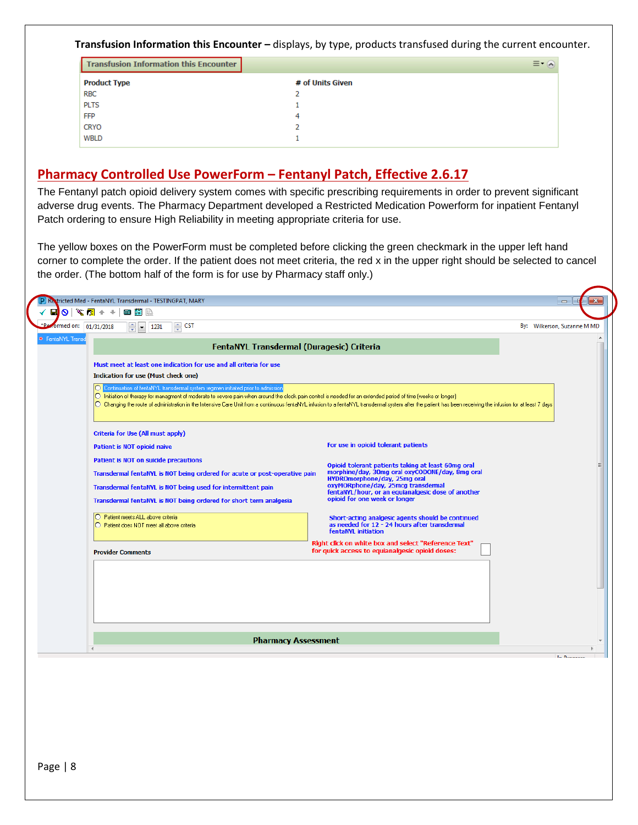### **Transfusion Information this Encounter –** displays, by type, products transfused during the current encounter.

| <b>Transfusion Information this Encounter</b> |                  | ≡∗<br>$\sim$ |
|-----------------------------------------------|------------------|--------------|
| <b>Product Type</b>                           | # of Units Given |              |
| <b>RBC</b>                                    |                  |              |
| <b>PLTS</b>                                   |                  |              |
| <b>FFP</b>                                    | 4                |              |
| CRYO                                          |                  |              |
| WBLD                                          |                  |              |

# **Pharmacy Controlled Use PowerForm – Fentanyl Patch, Effective 2.6.17**

The Fentanyl patch opioid delivery system comes with specific prescribing requirements in order to prevent significant adverse drug events. The Pharmacy Department developed a Restricted Medication Powerform for inpatient Fentanyl Patch ordering to ensure High Reliability in meeting appropriate criteria for use.

The yellow boxes on the PowerForm must be completed before clicking the green checkmark in the upper left hand corner to complete the order. If the patient does not meet criteria, the red x in the upper right should be selected to cancel the order. (The bottom half of the form is for use by Pharmacy staff only.)

| formed on: 01/31/2018<br>$\Rightarrow$ CST<br>$\frac{4}{7}$ $\bullet$ 1231<br>* FentaNYL Transd                                                                                                                                                           | By: Wilkerson, Suzanne M MD                                                                                                                                                                                                                                                                                                                                                    |
|-----------------------------------------------------------------------------------------------------------------------------------------------------------------------------------------------------------------------------------------------------------|--------------------------------------------------------------------------------------------------------------------------------------------------------------------------------------------------------------------------------------------------------------------------------------------------------------------------------------------------------------------------------|
|                                                                                                                                                                                                                                                           | FentaNYL Transdermal (Duragesic) Criteria                                                                                                                                                                                                                                                                                                                                      |
| Must meet at least one indication for use and all criteria for use<br>Indication for use (Must check one)                                                                                                                                                 |                                                                                                                                                                                                                                                                                                                                                                                |
| O Continuation of fentaNYL transdermal system regimen initiated prior to admission                                                                                                                                                                        | O Initiation of therapy for managment of moderate to severe pain when around the clock pain control is needed for an extended period of time (weeks or longer)<br>O Changing the route of administration in the Intensive Care Unit from a continuous fentaNYL infusion to a fentaNYL transdermal system after the patient has been receiving the infusion for at least 7 days |
| Criteria for Use (All must apply)<br>Patient is NOT opioid naive                                                                                                                                                                                          | For use in opioid tolerant patients                                                                                                                                                                                                                                                                                                                                            |
| Patient is NOT on suicide precautions<br>Transdermal fentaNYL is NOT being ordered for acute or post-operative pain<br>Transdermal fentaNYL is NOT being used for intermittent pain<br>Transdermal fentaNYL is NOT being ordered for short term analgesia | Opioid tolerant patients taking at least 60mg oral<br>morphine/day, 30mg oral oxyCODONE/day, 8mg oral<br>HYDROmorphone/day, 25mg oral<br>oxyMORphone/day, 25mcg transdermal<br>fentaNYL/hour, or an equianalgesic dose of another<br>opioid for one week or longer                                                                                                             |
| O Patient meets ALL above criteria<br>◯ Patient does NOT meet all above criteria                                                                                                                                                                          | Short-acting analgesic agents should be continued<br>as needed for 12 - 24 hours after transdermal<br>fentaNYL initiation                                                                                                                                                                                                                                                      |
| <b>Provider Comments</b>                                                                                                                                                                                                                                  | Right click on white box and select "Reference Text"<br>for quick access to equianalgesic opioid doses:                                                                                                                                                                                                                                                                        |
|                                                                                                                                                                                                                                                           |                                                                                                                                                                                                                                                                                                                                                                                |
|                                                                                                                                                                                                                                                           | <b>Pharmacy Assessment</b>                                                                                                                                                                                                                                                                                                                                                     |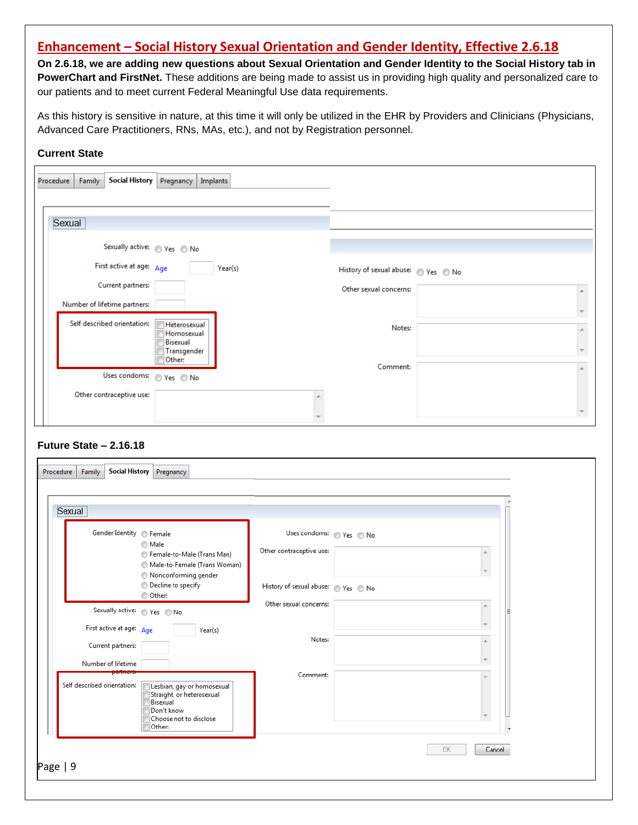# **Enhancement – Social History Sexual Orientation and Gender Identity, Effective 2.6.18**

**On 2.6.18, we are adding new questions about Sexual Orientation and Gender Identity to the Social History tab in PowerChart and FirstNet.** These additions are being made to assist us in providing high quality and personalized care to our patients and to meet current Federal Meaningful Use data requirements.

As this history is sensitive in nature, at this time it will only be utilized in the EHR by Providers and Clinicians (Physicians, Advanced Care Practitioners, RNs, MAs, etc.), and not by Registration personnel.

#### **Current State**

| <b>Social History</b><br>Pregnancy<br>Procedure<br>Family<br>Implants        |                                                                                                                                                                                                                                                                                                                                                                                                  |
|------------------------------------------------------------------------------|--------------------------------------------------------------------------------------------------------------------------------------------------------------------------------------------------------------------------------------------------------------------------------------------------------------------------------------------------------------------------------------------------|
|                                                                              |                                                                                                                                                                                                                                                                                                                                                                                                  |
| Sexual                                                                       |                                                                                                                                                                                                                                                                                                                                                                                                  |
| Sexually active: $\circledcirc$ Yes $\circledcirc$ No                        |                                                                                                                                                                                                                                                                                                                                                                                                  |
| First active at age: Age<br>Year(s)                                          | History of sexual abuse: <a> <a> </a> <a> </a> <a> <a> <a> <a> <a> <a> <a> No<br/> <a> <a> No</a> <a> <a> No</a> <a> <a> <a< a=""> <a> <a< a=""> <a> <a< a=""> <a> <a< a=""> <a> <a< a=""> <a< a=""> <a> <a< a=""> <a< a=""> <a< a=""> <a< a="" a<=""> <a< a=""> &lt;</a<></a<></a<></a<></a<></a></a<></a<></a></a<></a></a<></a></a<></a></a<></a></a></a></a></a></a></a></a></a></a></a></a> |
| Current partners:                                                            | Other sexual concerns:                                                                                                                                                                                                                                                                                                                                                                           |
| Number of lifetime partners:                                                 |                                                                                                                                                                                                                                                                                                                                                                                                  |
| Self described orientation:<br>Heterosexual<br>Homosexual<br><b>Bisexual</b> | Notes:                                                                                                                                                                                                                                                                                                                                                                                           |
| Transgender<br>Other:                                                        | Comment:                                                                                                                                                                                                                                                                                                                                                                                         |
| Uses condoms: $\circledcirc$ Yes $\circledcirc$ No                           |                                                                                                                                                                                                                                                                                                                                                                                                  |
| Other contraceptive use:                                                     |                                                                                                                                                                                                                                                                                                                                                                                                  |

## **Future State – 2.16.18**

| Sexual                                                |                                                                                                   |                                                      |                                          |
|-------------------------------------------------------|---------------------------------------------------------------------------------------------------|------------------------------------------------------|------------------------------------------|
| Gender Identity © Female                              | <b>Male</b><br>Female-to-Male (Trans Man)<br>Male-to-Female (Trans Woman)<br>Nonconforming gender | Uses condoms: © Yes © No<br>Other contraceptive use: | $\mathbb{A}$<br>$\overline{\phantom{a}}$ |
|                                                       | © Decline to specify<br>O Other:                                                                  | Other sexual concerns:                               |                                          |
| Sexually active: Nes O No<br>First active at age: Age | Year(s)                                                                                           |                                                      | $\mathbb{A}$                             |
| Current partners:                                     |                                                                                                   | Notes:                                               | $\blacktriangle$                         |
| Number of lifetime<br>Self described orientation:     | Lesbian, gay or homosexual<br>Straight, or heterosexual<br>Bisexual                               | Comment:                                             | $\overline{\phantom{a}}$<br>▲            |
|                                                       | Don't know<br>Choose not to disclose<br>Other:                                                    |                                                      |                                          |